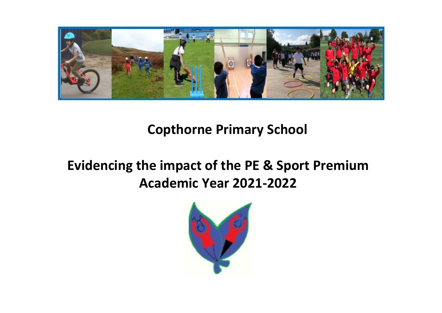

## **Copthorne Primary School**

# **Evidencing the impact of the PE & Sport Premium Academic Year 2021-2022**

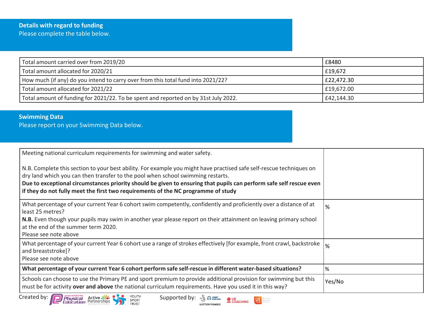#### **Details with regard to funding** Please complete the table below.

| Total amount carried over from 2019/20                                              | £8480      |
|-------------------------------------------------------------------------------------|------------|
| Total amount allocated for 2020/21                                                  | £19,672    |
| How much (if any) do you intend to carry over from this total fund into 2021/22?    | £22,472.30 |
| Total amount allocated for 2021/22                                                  | £19,672.00 |
| Total amount of funding for 2021/22. To be spent and reported on by 31st July 2022. | £42,144.30 |

### **Swimming Data**

Please report on your Swimming Data below.

| Meeting national curriculum requirements for swimming and water safety.<br>N.B. Complete this section to your best ability. For example you might have practised safe self-rescue techniques on<br>dry land which you can then transfer to the pool when school swimming restarts.<br>Due to exceptional circumstances priority should be given to ensuring that pupils can perform safe self rescue even<br>if they do not fully meet the first two requirements of the NC programme of study |               |
|------------------------------------------------------------------------------------------------------------------------------------------------------------------------------------------------------------------------------------------------------------------------------------------------------------------------------------------------------------------------------------------------------------------------------------------------------------------------------------------------|---------------|
| What percentage of your current Year 6 cohort swim competently, confidently and proficiently over a distance of at<br>least 25 metres?<br>N.B. Even though your pupils may swim in another year please report on their attainment on leaving primary school<br>at the end of the summer term 2020.<br>Please see note above                                                                                                                                                                    | %             |
| What percentage of your current Year 6 cohort use a range of strokes effectively [for example, front crawl, backstroke  <br>and breaststroke]?<br>Please see note above                                                                                                                                                                                                                                                                                                                        | $\frac{9}{6}$ |
| What percentage of your current Year 6 cohort perform safe self-rescue in different water-based situations?                                                                                                                                                                                                                                                                                                                                                                                    | l%            |
| Schools can choose to use the Primary PE and sport premium to provide additional provision for swimming but this<br>must be for activity over and above the national curriculum requirements. Have you used it in this way?                                                                                                                                                                                                                                                                    | Yes/No        |
| Created by: $\sqrt{2}$<br>association for<br><b>Physical</b> Active<br>YOUTH<br>SPORT<br>TRUST<br>Supported by:                                                                                                                                                                                                                                                                                                                                                                                |               |

**LOTTERY FUNDED** 



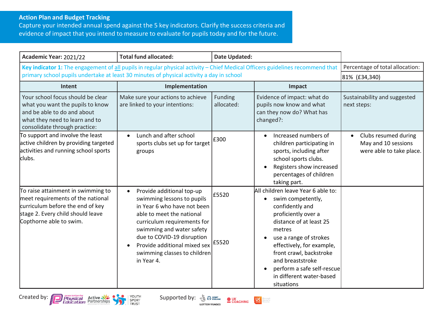#### **Action Plan and Budget Tracking**

Capture your intended annual spend against the 5 key indicators. Clarify the success criteria and evidence of impact that you intend to measure to evaluate for pupils today and for the future.

| Academic Year: 2021/22                                                                                                                                                      | <b>Total fund allocated:</b>                                                                                                                                                                                                                                                                                     | <b>Date Updated:</b>  |                                                                                                                                                                                                                                                                                                                                                |                                                                                      |
|-----------------------------------------------------------------------------------------------------------------------------------------------------------------------------|------------------------------------------------------------------------------------------------------------------------------------------------------------------------------------------------------------------------------------------------------------------------------------------------------------------|-----------------------|------------------------------------------------------------------------------------------------------------------------------------------------------------------------------------------------------------------------------------------------------------------------------------------------------------------------------------------------|--------------------------------------------------------------------------------------|
| Key indicator 1: The engagement of all pupils in regular physical activity - Chief Medical Officers guidelines recommend that                                               |                                                                                                                                                                                                                                                                                                                  |                       |                                                                                                                                                                                                                                                                                                                                                | Percentage of total allocation:                                                      |
| primary school pupils undertake at least 30 minutes of physical activity a day in school                                                                                    |                                                                                                                                                                                                                                                                                                                  |                       |                                                                                                                                                                                                                                                                                                                                                | 81% (£34,340)                                                                        |
| Intent                                                                                                                                                                      | Implementation                                                                                                                                                                                                                                                                                                   |                       | Impact                                                                                                                                                                                                                                                                                                                                         |                                                                                      |
| Your school focus should be clear<br>what you want the pupils to know<br>and be able to do and about<br>what they need to learn and to<br>consolidate through practice:     | Make sure your actions to achieve<br>are linked to your intentions:                                                                                                                                                                                                                                              | Funding<br>allocated: | Evidence of impact: what do<br>pupils now know and what<br>can they now do? What has<br>changed?:                                                                                                                                                                                                                                              | Sustainability and suggested<br>next steps:                                          |
| To support and involve the least<br>active children by providing targeted<br>activities and running school sports<br>clubs.                                                 | Lunch and after school<br>$\bullet$<br>sports clubs set up for target<br>groups                                                                                                                                                                                                                                  | £300                  | Increased numbers of<br>$\bullet$<br>children participating in<br>sports, including after<br>school sports clubs.<br>Registers show increased<br>$\bullet$<br>percentages of children<br>taking part.                                                                                                                                          | Clubs resumed during<br>$\bullet$<br>May and 10 sessions<br>were able to take place. |
| To raise attainment in swimming to<br>meet requirements of the national<br>curriculum before the end of key<br>stage 2. Every child should leave<br>Copthorne able to swim. | Provide additional top-up<br>$\bullet$<br>swimming lessons to pupils<br>in Year 6 who have not been<br>able to meet the national<br>curriculum requirements for<br>swimming and water safety<br>due to COVID-19 disruption<br>Provide additional mixed sex   £5520<br>swimming classes to children<br>in Year 4. | £5520                 | All children leave Year 6 able to:<br>swim competently,<br>$\bullet$<br>confidently and<br>proficiently over a<br>distance of at least 25<br>metres<br>use a range of strokes<br>$\bullet$<br>effectively, for example,<br>front crawl, backstroke<br>and breaststroke<br>perform a safe self-rescue<br>in different water-based<br>situations |                                                                                      |







dare people<br>dare active<br>dare often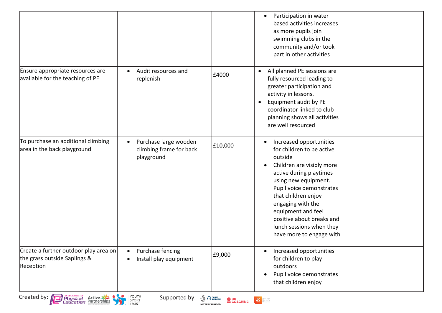|                                                                                         |                                                                             |                                                                   | Participation in water<br>$\bullet$<br>based activities increases<br>as more pupils join<br>swimming clubs in the<br>community and/or took<br>part in other activities                                                                                                                                                                                       |  |
|-----------------------------------------------------------------------------------------|-----------------------------------------------------------------------------|-------------------------------------------------------------------|--------------------------------------------------------------------------------------------------------------------------------------------------------------------------------------------------------------------------------------------------------------------------------------------------------------------------------------------------------------|--|
| Ensure appropriate resources are<br>available for the teaching of PE                    | Audit resources and<br>replenish                                            | £4000                                                             | All planned PE sessions are<br>$\bullet$<br>fully resourced leading to<br>greater participation and<br>activity in lessons.<br>Equipment audit by PE<br>$\bullet$<br>coordinator linked to club<br>planning shows all activities<br>are well resourced                                                                                                       |  |
| To purchase an additional climbing<br>area in the back playground                       | Purchase large wooden<br>$\bullet$<br>climbing frame for back<br>playground | £10,000                                                           | Increased opportunities<br>$\bullet$<br>for children to be active<br>outside<br>Children are visibly more<br>$\bullet$<br>active during playtimes<br>using new equipment.<br>Pupil voice demonstrates<br>that children enjoy<br>engaging with the<br>equipment and feel<br>positive about breaks and<br>lunch sessions when they<br>have more to engage with |  |
| Create a further outdoor play area on<br>the grass outside Saplings &<br>Reception      | Purchase fencing<br>$\bullet$<br>Install play equipment<br>$\bullet$        | £9,000                                                            | Increased opportunities<br>for children to play<br>outdoors<br>Pupil voice demonstrates<br>$\bullet$<br>that children enjoy                                                                                                                                                                                                                                  |  |
| Created by: $\sqrt{2}$<br><b>Physical Active State</b><br><b>Education</b> Partnerships | YOUTH<br>Supported by:<br>SPORT<br>TRUST                                    | <b>B</b> SPORT<br><b>OUK</b><br>COACHING<br><b>LOTTERY FUNDED</b> | <b>OCLIVE Mane</b>                                                                                                                                                                                                                                                                                                                                           |  |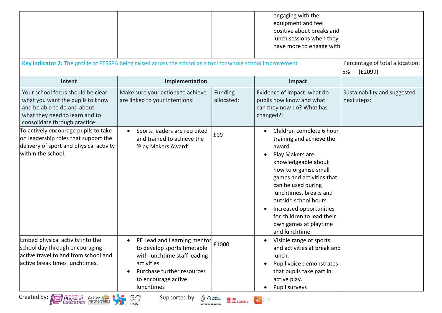| Key indicator 2: The profile of PESSPA being raised across the school as a tool for whole school improvement                                                            |                                                                                                                                                                                                       |                       | engaging with the<br>equipment and feel<br>positive about breaks and<br>lunch sessions when they<br>have more to engage with                                                                                                                                                                                                                                                     | Percentage of total allocation:             |
|-------------------------------------------------------------------------------------------------------------------------------------------------------------------------|-------------------------------------------------------------------------------------------------------------------------------------------------------------------------------------------------------|-----------------------|----------------------------------------------------------------------------------------------------------------------------------------------------------------------------------------------------------------------------------------------------------------------------------------------------------------------------------------------------------------------------------|---------------------------------------------|
|                                                                                                                                                                         |                                                                                                                                                                                                       |                       |                                                                                                                                                                                                                                                                                                                                                                                  | 5%<br>(E2099)                               |
| Intent                                                                                                                                                                  | Implementation                                                                                                                                                                                        |                       | Impact                                                                                                                                                                                                                                                                                                                                                                           |                                             |
| Your school focus should be clear<br>what you want the pupils to know<br>and be able to do and about<br>what they need to learn and to<br>consolidate through practice: | Make sure your actions to achieve<br>are linked to your intentions:                                                                                                                                   | Funding<br>allocated: | Evidence of impact: what do<br>pupils now know and what<br>can they now do? What has<br>changed?:                                                                                                                                                                                                                                                                                | Sustainability and suggested<br>next steps: |
| To actively encourage pupils to take<br>on leadership roles that support the<br>delivery of sport and physical activity<br>within the school.                           | Sports leaders are recruited<br>and trained to achieve the<br>'Play Makers Award'                                                                                                                     | £99                   | Children complete 6 hour<br>$\bullet$<br>training and achieve the<br>award<br>Play Makers are<br>$\bullet$<br>knowledgeable about<br>how to organise small<br>games and activities that<br>can be used during<br>lunchtimes, breaks and<br>outside school hours.<br>Increased opportunities<br>$\bullet$<br>for children to lead their<br>own games at playtime<br>and lunchtime |                                             |
| Embed physical activity into the<br>school day through encouraging<br>active travel to and from school and<br>lactive break times lunchtimes.                           | PE Lead and Learning mentor<br>$\bullet$<br>to develop sports timetable<br>with lunchtime staff leading<br>activities<br>Purchase further resources<br>$\bullet$<br>to encourage active<br>lunchtimes | £1000                 | Visible range of sports<br>$\bullet$<br>and activities at break and<br>lunch.<br>Pupil voice demonstrates<br>that pupils take part in<br>active play.<br>Pupil surveys                                                                                                                                                                                                           |                                             |

**LOTTERY FUNDED**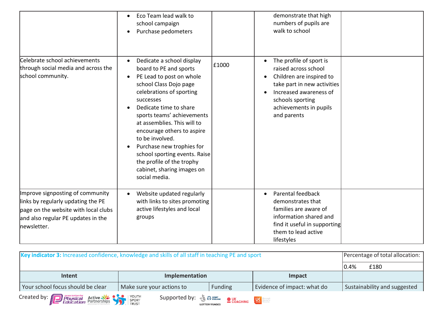|                                                                                                                                                                     | Eco Team lead walk to<br>$\bullet$<br>school campaign<br>Purchase pedometers<br>$\bullet$                                                                                                                                                                                                                                                                                                                                                                                   |       | demonstrate that high<br>numbers of pupils are<br>walk to school                                                                                                                                  |  |
|---------------------------------------------------------------------------------------------------------------------------------------------------------------------|-----------------------------------------------------------------------------------------------------------------------------------------------------------------------------------------------------------------------------------------------------------------------------------------------------------------------------------------------------------------------------------------------------------------------------------------------------------------------------|-------|---------------------------------------------------------------------------------------------------------------------------------------------------------------------------------------------------|--|
| Celebrate school achievements<br>through social media and across the<br>school community.                                                                           | Dedicate a school display<br>board to PE and sports<br>PE Lead to post on whole<br>$\bullet$<br>school Class Dojo page<br>celebrations of sporting<br>successes<br>Dedicate time to share<br>$\bullet$<br>sports teams' achievements<br>at assemblies. This will to<br>encourage others to aspire<br>to be involved.<br>Purchase new trophies for<br>$\bullet$<br>school sporting events. Raise<br>the profile of the trophy<br>cabinet, sharing images on<br>social media. | £1000 | The profile of sport is<br>raised across school<br>Children are inspired to<br>take part in new activities<br>Increased awareness of<br>schools sporting<br>achievements in pupils<br>and parents |  |
| Improve signposting of community<br>links by regularly updating the PE<br>page on the website with local clubs<br>and also regular PE updates in the<br>newsletter. | Website updated regularly<br>$\bullet$<br>with links to sites promoting<br>active lifestyles and local<br>groups                                                                                                                                                                                                                                                                                                                                                            |       | Parental feedback<br>demonstrates that<br>families are aware of<br>information shared and<br>find it useful in supporting<br>them to lead active<br>lifestyles                                    |  |

| Key indicator 3: Increased confidence, knowledge and skills of all staff in teaching PE and sport |                                                                                                                                                                                                                                                                                                                     | Percentage of total allocation: |                             |                              |
|---------------------------------------------------------------------------------------------------|---------------------------------------------------------------------------------------------------------------------------------------------------------------------------------------------------------------------------------------------------------------------------------------------------------------------|---------------------------------|-----------------------------|------------------------------|
|                                                                                                   |                                                                                                                                                                                                                                                                                                                     |                                 |                             | 0.4%<br>£180                 |
| Intent                                                                                            | Implementation                                                                                                                                                                                                                                                                                                      |                                 | Impact                      |                              |
| Your school focus should be clear                                                                 | Make sure your actions to                                                                                                                                                                                                                                                                                           | Funding                         | Evidence of impact: what do | Sustainability and suggested |
| Created by: <b>Physical</b> Active ALLY PROPET SPORT ACTIVE AND REDUCTION OF A REAL PROPET SPORT  | Supported by: $\frac{1}{2}$ $\frac{1}{2}$ $\frac{1}{2}$ $\frac{1}{2}$ $\frac{1}{2}$ $\frac{1}{2}$ $\frac{1}{2}$ $\frac{1}{2}$ $\frac{1}{2}$ $\frac{1}{2}$ $\frac{1}{2}$ $\frac{1}{2}$ $\frac{1}{2}$ $\frac{1}{2}$ $\frac{1}{2}$ $\frac{1}{2}$ $\frac{1}{2}$ $\frac{1}{2}$ $\frac{1}{2}$ $\frac{1}{2}$ $\frac{1}{2}$ | <b>LOTTERY FUNDED</b>           |                             |                              |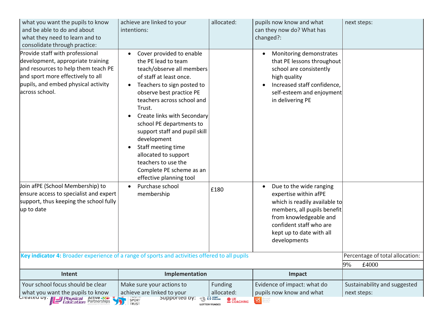| what you want the pupils to know<br>and be able to do and about<br>what they need to learn and to<br>consolidate through practice:                                                                        | achieve are linked to your<br>intentions:                                                                                                                                                                                                                                                                                                                                                                                                                                                            | allocated:                      | pupils now know and what<br>can they now do? What has<br>changed?:                                                                                                                                                             | next steps:                                    |
|-----------------------------------------------------------------------------------------------------------------------------------------------------------------------------------------------------------|------------------------------------------------------------------------------------------------------------------------------------------------------------------------------------------------------------------------------------------------------------------------------------------------------------------------------------------------------------------------------------------------------------------------------------------------------------------------------------------------------|---------------------------------|--------------------------------------------------------------------------------------------------------------------------------------------------------------------------------------------------------------------------------|------------------------------------------------|
| Provide staff with professional<br>development, appropriate training<br>and resources to help them teach PE<br>and sport more effectively to all<br>pupils, and embed physical activity<br>across school. | Cover provided to enable<br>$\bullet$<br>the PE lead to team<br>teach/observe all members<br>of staff at least once.<br>Teachers to sign posted to<br>$\bullet$<br>observe best practice PE<br>teachers across school and<br>Trust.<br>Create links with Secondary<br>$\bullet$<br>school PE departments to<br>support staff and pupil skill<br>development<br>Staff meeting time<br>$\bullet$<br>allocated to support<br>teachers to use the<br>Complete PE scheme as an<br>effective planning tool |                                 | Monitoring demonstrates<br>that PE lessons throughout<br>school are consistently<br>high quality<br>Increased staff confidence,<br>self-esteem and enjoyment<br>in delivering PE                                               |                                                |
| Join afPE (School Membership) to<br>ensure access to specialist and expert<br>support, thus keeping the school fully<br>up to date                                                                        | Purchase school<br>$\bullet$<br>membership                                                                                                                                                                                                                                                                                                                                                                                                                                                           | £180                            | Due to the wide ranging<br>$\bullet$<br>expertise within afPE<br>which is readily available to<br>members, all pupils benefit<br>from knowledgeable and<br>confident staff who are<br>kept up to date with all<br>developments |                                                |
| Key indicator 4: Broader experience of a range of sports and activities offered to all pupils                                                                                                             |                                                                                                                                                                                                                                                                                                                                                                                                                                                                                                      |                                 |                                                                                                                                                                                                                                | Percentage of total allocation:<br>9%<br>£4000 |
| Intent                                                                                                                                                                                                    | Implementation                                                                                                                                                                                                                                                                                                                                                                                                                                                                                       |                                 | Impact                                                                                                                                                                                                                         |                                                |
| Your school focus should be clear<br>what you want the pupils to know<br>Created by. Ill Bhysical Active                                                                                                  | Make sure your actions to<br>achieve are linked to your<br>Supported by: You We allow<br>SPORT                                                                                                                                                                                                                                                                                                                                                                                                       | Funding<br>allocated:<br>$Q$ VK | Evidence of impact: what do<br>pupils now know and what<br><u>uc l</u>                                                                                                                                                         | Sustainability and suggested<br>next steps:    |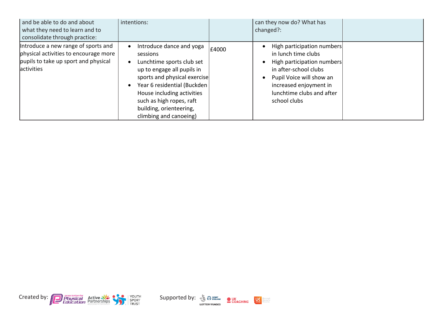| and be able to do and about<br>what they need to learn and to<br>consolidate through practice:                                             | intentions:                                                                                                                                                                                                                                                                                                           |       | can they now do? What has<br>changed?:                                                                                                                                                                      |  |
|--------------------------------------------------------------------------------------------------------------------------------------------|-----------------------------------------------------------------------------------------------------------------------------------------------------------------------------------------------------------------------------------------------------------------------------------------------------------------------|-------|-------------------------------------------------------------------------------------------------------------------------------------------------------------------------------------------------------------|--|
| Introduce a new range of sports and<br>physical activities to encourage more<br>pupils to take up sport and physical<br><b>lactivities</b> | Introduce dance and yoga<br>$\bullet$<br>sessions<br>Lunchtime sports club set<br>$\bullet$<br>up to engage all pupils in<br>sports and physical exercise<br>Year 6 residential (Buckden)<br>$\bullet$<br>House including activities<br>such as high ropes, raft<br>building, orienteering,<br>climbing and canoeing) | £4000 | High participation numbers<br>in lunch time clubs<br>High participation numbers<br>in after-school clubs<br>Pupil Voice will show an<br>increased enjoyment in<br>lunchtime clubs and after<br>school clubs |  |



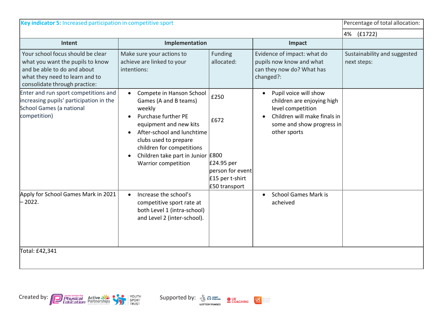| Key indicator 5: Increased participation in competitive sport                                                                                                           |                                                                                                                                                                                                                                                                                                                         |                                                                                    |                                                                                                                                                                    | Percentage of total allocation:             |
|-------------------------------------------------------------------------------------------------------------------------------------------------------------------------|-------------------------------------------------------------------------------------------------------------------------------------------------------------------------------------------------------------------------------------------------------------------------------------------------------------------------|------------------------------------------------------------------------------------|--------------------------------------------------------------------------------------------------------------------------------------------------------------------|---------------------------------------------|
|                                                                                                                                                                         |                                                                                                                                                                                                                                                                                                                         |                                                                                    |                                                                                                                                                                    | (f1722)<br>4%                               |
| Intent                                                                                                                                                                  | Implementation                                                                                                                                                                                                                                                                                                          |                                                                                    | Impact                                                                                                                                                             |                                             |
| Your school focus should be clear<br>what you want the pupils to know<br>and be able to do and about<br>what they need to learn and to<br>consolidate through practice: | Make sure your actions to<br>achieve are linked to your<br>intentions:                                                                                                                                                                                                                                                  | Funding<br>allocated:                                                              | Evidence of impact: what do<br>pupils now know and what<br>can they now do? What has<br>changed?:                                                                  | Sustainability and suggested<br>next steps: |
| Enter and run sport competitions and<br>increasing pupils' participation in the<br>School Games (a national<br>competition)                                             | Compete in Hanson School<br>$\bullet$<br>Games (A and B teams)<br>weekly<br><b>Purchase further PE</b><br>$\bullet$<br>equipment and new kits<br>After-school and lunchtime<br>$\bullet$<br>clubs used to prepare<br>children for competitions<br>Children take part in Junior £800<br>$\bullet$<br>Warrior competition | £250<br>£672<br>£24.95 per<br>berson for event<br>£15 per t-shirt<br>£50 transport | Pupil voice will show<br>$\bullet$<br>children are enjoying high<br>level competition<br>Children will make finals in<br>some and show progress in<br>other sports |                                             |
| Apply for School Games Mark in 2021<br>$-2022.$                                                                                                                         | Increase the school's<br>$\bullet$<br>competitive sport rate at<br>both Level 1 (intra-school)<br>and Level 2 (inter-school).                                                                                                                                                                                           |                                                                                    | <b>School Games Mark is</b><br>$\bullet$<br>acheived                                                                                                               |                                             |
| Total: £42,341                                                                                                                                                          |                                                                                                                                                                                                                                                                                                                         |                                                                                    |                                                                                                                                                                    |                                             |